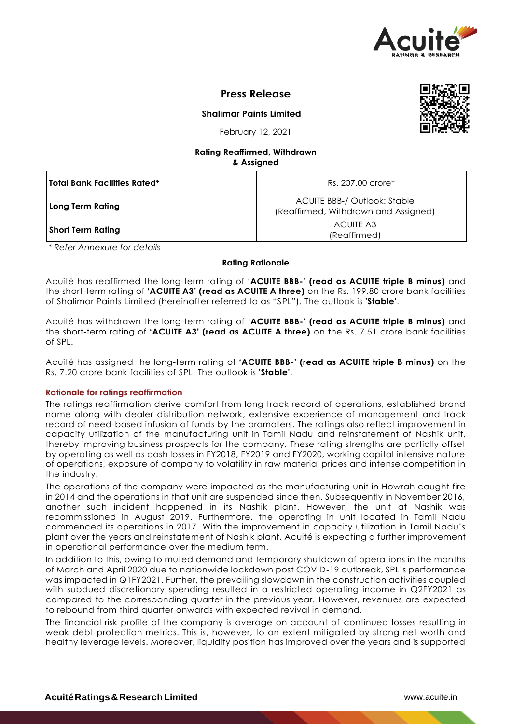

# **Press Release**

**Shalimar Paints Limited**



February 12, 2021

#### **Rating Reaffirmed, Withdrawn & Assigned**

| Total Bank Facilities Rated* | Rs. 207.00 crore*                                                           |
|------------------------------|-----------------------------------------------------------------------------|
| Long Term Rating             | <b>ACUITE BBB-/ Outlook: Stable</b><br>(Reaffirmed, Withdrawn and Assigned) |
| <b>Short Term Rating</b>     | ACUITE A3<br>(Reaffirmed)                                                   |

*\* Refer Annexure for details*

## **Rating Rationale**

Acuité has reaffirmed the long-term rating of **'ACUITE BBB-' (read as ACUITE triple B minus)** and the short-term rating of **'ACUITE A3' (read as ACUITE A three)** on the Rs. 199.80 crore bank facilities of Shalimar Paints Limited (hereinafter referred to as "SPL"). The outlook is **'Stable'**.

Acuité has withdrawn the long-term rating of **'ACUITE BBB-' (read as ACUITE triple B minus)** and the short-term rating of **'ACUITE A3' (read as ACUITE A three)** on the Rs. 7.51 crore bank facilities of SPL.

Acuité has assigned the long-term rating of **'ACUITE BBB-' (read as ACUITE triple B minus)** on the Rs. 7.20 crore bank facilities of SPL. The outlook is **'Stable'**.

## **Rationale for ratings reaffirmation**

The ratings reaffirmation derive comfort from long track record of operations, established brand name along with dealer distribution network, extensive experience of management and track record of need-based infusion of funds by the promoters. The ratings also reflect improvement in capacity utilization of the manufacturing unit in Tamil Nadu and reinstatement of Nashik unit, thereby improving business prospects for the company. These rating strengths are partially offset by operating as well as cash losses in FY2018, FY2019 and FY2020, working capital intensive nature of operations, exposure of company to volatility in raw material prices and intense competition in the industry.

The operations of the company were impacted as the manufacturing unit in Howrah caught fire in 2014 and the operations in that unit are suspended since then. Subsequently in November 2016, another such incident happened in its Nashik plant. However, the unit at Nashik was recommissioned in August 2019. Furthermore, the operating in unit located in Tamil Nadu commenced its operations in 2017. With the improvement in capacity utilization in Tamil Nadu's plant over the years and reinstatement of Nashik plant, Acuité is expecting a further improvement in operational performance over the medium term.

In addition to this, owing to muted demand and temporary shutdown of operations in the months of March and April 2020 due to nationwide lockdown post COVID-19 outbreak, SPL's performance was impacted in Q1FY2021. Further, the prevailing slowdown in the construction activities coupled with subdued discretionary spending resulted in a restricted operating income in Q2FY2021 as compared to the corresponding quarter in the previous year. However, revenues are expected to rebound from third quarter onwards with expected revival in demand.

The financial risk profile of the company is average on account of continued losses resulting in weak debt protection metrics. This is, however, to an extent mitigated by strong net worth and healthy leverage levels. Moreover, liquidity position has improved over the years and is supported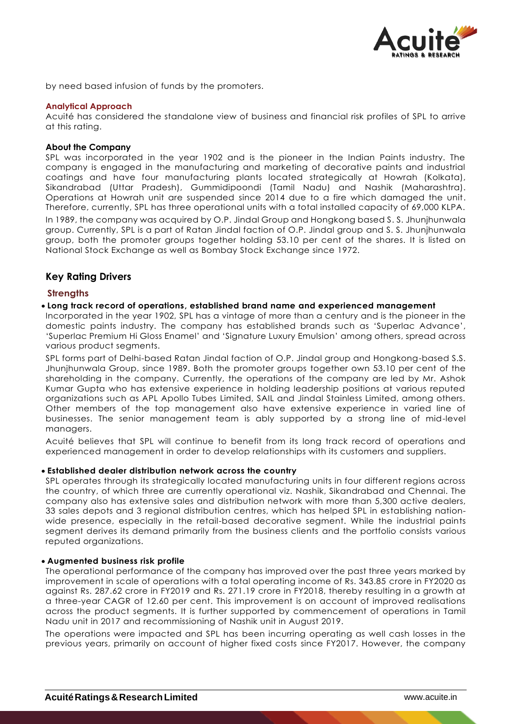

by need based infusion of funds by the promoters.

#### **Analytical Approach**

Acuité has considered the standalone view of business and financial risk profiles of SPL to arrive at this rating.

#### **About the Company**

SPL was incorporated in the year 1902 and is the pioneer in the Indian Paints industry. The company is engaged in the manufacturing and marketing of decorative paints and industrial coatings and have four manufacturing plants located strategically at Howrah (Kolkata), Sikandrabad (Uttar Pradesh), Gummidipoondi (Tamil Nadu) and Nashik (Maharashtra). Operations at Howrah unit are suspended since 2014 due to a fire which damaged the unit. Therefore, currently, SPL has three operational units with a total installed capacity of 69,000 KLPA.

In 1989, the company was acquired by O.P. Jindal Group and Hongkong based S. S. Jhunjhunwala group. Currently, SPL is a part of Ratan Jindal faction of O.P. Jindal group and S. S. Jhunjhunwala group, both the promoter groups together holding 53.10 per cent of the shares. It is listed on National Stock Exchange as well as Bombay Stock Exchange since 1972.

## **Key Rating Drivers**

#### **Strengths**

#### **Long track record of operations, established brand name and experienced management**

Incorporated in the year 1902, SPL has a vintage of more than a century and is the pioneer in the domestic paints industry. The company has established brands such as 'Superlac Advance', 'Superlac Premium Hi Gloss Enamel' and 'Signature Luxury Emulsion' among others, spread across various product segments.

SPL forms part of Delhi-based Ratan Jindal faction of O.P. Jindal group and Hongkong-based S.S. Jhunjhunwala Group, since 1989. Both the promoter groups together own 53.10 per cent of the shareholding in the company. Currently, the operations of the company are led by Mr. Ashok Kumar Gupta who has extensive experience in holding leadership positions at various reputed organizations such as APL Apollo Tubes Limited, SAIL and Jindal Stainless Limited, among others. Other members of the top management also have extensive experience in varied line of businesses. The senior management team is ably supported by a strong line of mid-level managers.

Acuité believes that SPL will continue to benefit from its long track record of operations and experienced management in order to develop relationships with its customers and suppliers.

#### **Established dealer distribution network across the country**

SPL operates through its strategically located manufacturing units in four different regions across the country, of which three are currently operational viz. Nashik, Sikandrabad and Chennai. The company also has extensive sales and distribution network with more than 5,300 active dealers, 33 sales depots and 3 regional distribution centres, which has helped SPL in establishing nationwide presence, especially in the retail-based decorative segment. While the industrial paints segment derives its demand primarily from the business clients and the portfolio consists various reputed organizations.

#### **Augmented business risk profile**

The operational performance of the company has improved over the past three years marked by improvement in scale of operations with a total operating income of Rs. 343.85 crore in FY2020 as against Rs. 287.62 crore in FY2019 and Rs. 271.19 crore in FY2018, thereby resulting in a growth at a three-year CAGR of 12.60 per cent. This improvement is on account of improved realisations across the product segments. It is further supported by commencement of operations in Tamil Nadu unit in 2017 and recommissioning of Nashik unit in August 2019.

The operations were impacted and SPL has been incurring operating as well cash losses in the previous years, primarily on account of higher fixed costs since FY2017. However, the company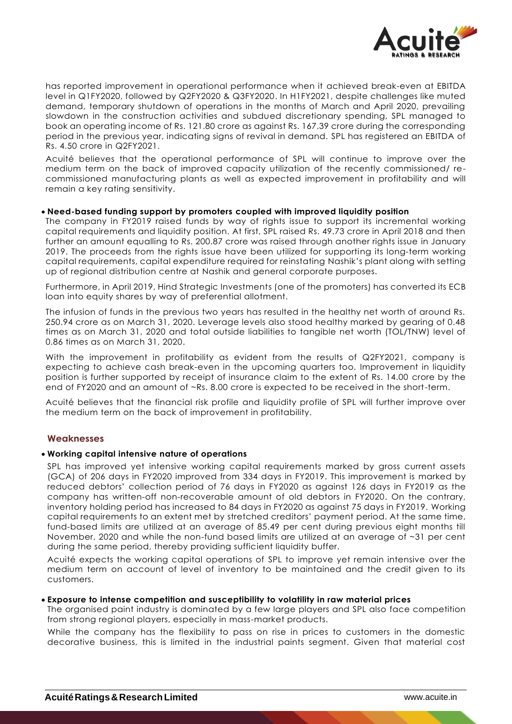

has reported improvement in operational performance when it achieved break-even at EBITDA level in Q1FY2020, followed by Q2FY2020 & Q3FY2020. In H1FY2021, despite challenges like muted demand, temporary shutdown of operations in the months of March and April 2020, prevailing slowdown in the construction activities and subdued discretionary spending, SPL managed to book an operating income of Rs. 121.80 crore as against Rs. 167.39 crore during the corresponding period in the previous year, indicating signs of revival in demand. SPL has registered an EBITDA of Rs. 4.50 crore in Q2FY2021.

Acuité believes that the operational performance of SPL will continue to improve over the medium term on the back of improved capacity utilization of the recently commissioned/ recommissioned manufacturing plants as well as expected improvement in profitability and will remain a key rating sensitivity.

#### **Need-based funding support by promoters coupled with improved liquidity position**

The company in FY2019 raised funds by way of rights issue to support its incremental working capital requirements and liquidity position. At first, SPL raised Rs. 49.73 crore in April 2018 and then further an amount equalling to Rs. 200.87 crore was raised through another rights issue in January 2019. The proceeds from the rights issue have been utilized for supporting its long-term working capital requirements, capital expenditure required for reinstating Nashik's plant along with setting up of regional distribution centre at Nashik and general corporate purposes.

Furthermore, in April 2019, Hind Strategic Investments (one of the promoters) has converted its ECB loan into equity shares by way of preferential allotment.

The infusion of funds in the previous two years has resulted in the healthy net worth of around Rs. 250.94 crore as on March 31, 2020. Leverage levels also stood healthy marked by gearing of 0.48 times as on March 31, 2020 and total outside liabilities to tangible net worth (TOL/TNW) level of 0.86 times as on March 31, 2020.

With the improvement in profitability as evident from the results of Q2FY2021, company is expecting to achieve cash break-even in the upcoming quarters too. Improvement in liquidity position is further supported by receipt of insurance claim to the extent of Rs. 14.00 crore by the end of FY2020 and an amount of ~Rs. 8.00 crore is expected to be received in the short-term.

Acuité believes that the financial risk profile and liquidity profile of SPL will further improve over the medium term on the back of improvement in profitability.

## **Weaknesses**

#### **Working capital intensive nature of operations**

SPL has improved yet intensive working capital requirements marked by gross current assets (GCA) of 206 days in FY2020 improved from 334 days in FY2019. This improvement is marked by reduced debtors' collection period of 76 days in FY2020 as against 126 days in FY2019 as the company has written-off non-recoverable amount of old debtors in FY2020. On the contrary, inventory holding period has increased to 84 days in FY2020 as against 75 days in FY2019. Working capital requirements to an extent met by stretched creditors' payment period. At the same time, fund-based limits are utilized at an average of 85.49 per cent during previous eight months till November, 2020 and while the non-fund based limits are utilized at an average of ~31 per cent during the same period, thereby providing sufficient liquidity buffer.

Acuité expects the working capital operations of SPL to improve yet remain intensive over the medium term on account of level of inventory to be maintained and the credit given to its customers.

#### **Exposure to intense competition and susceptibility to volatility in raw material prices**

The organised paint industry is dominated by a few large players and SPL also face competition from strong regional players, especially in mass-market products.

While the company has the flexibility to pass on rise in prices to customers in the domestic decorative business, this is limited in the industrial paints segment. Given that material cost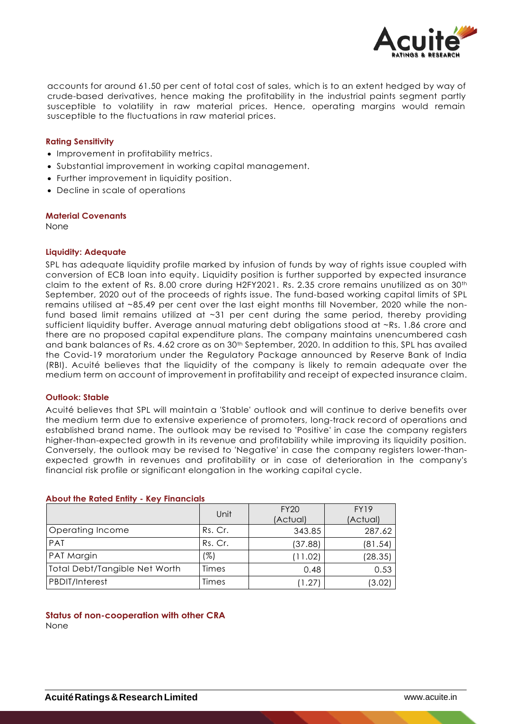

accounts for around 61.50 per cent of total cost of sales, which is to an extent hedged by way of crude-based derivatives, hence making the profitability in the industrial paints segment partly susceptible to volatility in raw material prices. Hence, operating margins would remain susceptible to the fluctuations in raw material prices.

#### **Rating Sensitivity**

- Improvement in profitability metrics.
- Substantial improvement in working capital management.
- Further improvement in liquidity position.
- Decline in scale of operations

#### **Material Covenants**

None

#### **Liquidity: Adequate**

SPL has adequate liquidity profile marked by infusion of funds by way of rights issue coupled with conversion of ECB loan into equity. Liquidity position is further supported by expected insurance claim to the extent of Rs. 8.00 crore during H2FY2021. Rs. 2.35 crore remains unutilized as on 30th September, 2020 out of the proceeds of rights issue. The fund-based working capital limits of SPL remains utilised at ~85.49 per cent over the last eight months till November, 2020 while the nonfund based limit remains utilized at ~31 per cent during the same period, thereby providing sufficient liquidity buffer. Average annual maturing debt obligations stood at ~Rs. 1.86 crore and there are no proposed capital expenditure plans. The company maintains unencumbered cash and bank balances of Rs. 4.62 crore as on 30th September, 2020. In addition to this, SPL has availed the Covid-19 moratorium under the Regulatory Package announced by Reserve Bank of India (RBI). Acuité believes that the liquidity of the company is likely to remain adequate over the medium term on account of improvement in profitability and receipt of expected insurance claim.

#### **Outlook: Stable**

Acuité believes that SPL will maintain a 'Stable' outlook and will continue to derive benefits over the medium term due to extensive experience of promoters, long-track record of operations and established brand name. The outlook may be revised to 'Positive' in case the company registers higher-than-expected growth in its revenue and profitability while improving its liquidity position. Conversely, the outlook may be revised to 'Negative' in case the company registers lower-thanexpected growth in revenues and profitability or in case of deterioration in the company's financial risk profile or significant elongation in the working capital cycle.

|                               | Unit    | <b>FY20</b><br>(Actual) | <b>FY19</b><br>(Actual) |
|-------------------------------|---------|-------------------------|-------------------------|
| <b>Operating Income</b>       | Rs. Cr. | 343.85                  | 287.62                  |
| PAT                           | Rs. Cr. | (37.88)                 | (81.54)                 |
| <b>PAT Margin</b>             | (%)     | (11.02)                 | (28.35)                 |
| Total Debt/Tangible Net Worth | Times   | 0.48                    | 0.53                    |
| <b>PBDIT/Interest</b>         | Times   | 1.27                    | (3.02)                  |

#### **About the Rated Entity - Key Financials**

**Status of non-cooperation with other CRA**  None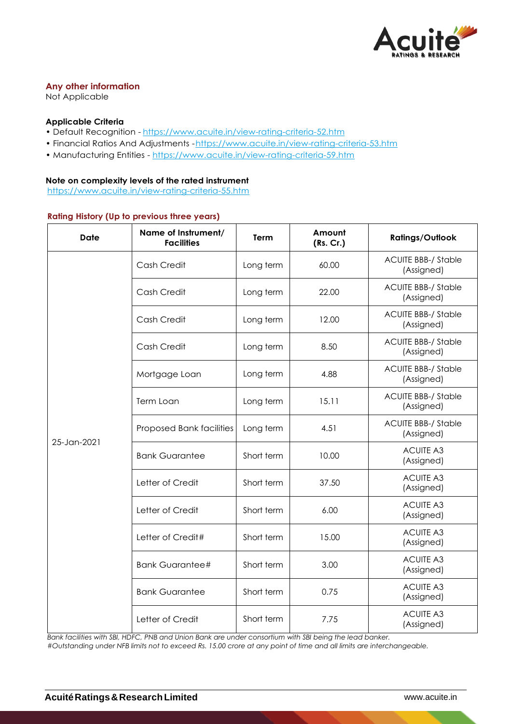

## **Any other information**

Not Applicable

## **Applicable Criteria**

- Default Recognition https://www.acuite.in/view-rating-criteria-52.htm
- Financial Ratios And Adjustments -https://www.acuite.in/view-rating-criteria-53.htm
- Manufacturing Entities https://www.acuite.in/view-rating-criteria-59.htm

#### **Note on complexity levels of the rated instrument**

https://www.acuite.in/view-rating-criteria-55.htm

#### **Rating History (Up to previous three years)**

| <b>Date</b> | Name of Instrument/<br><b>Facilities</b> | Term       | Amount<br>(Rs. Cr.) | <b>Ratings/Outlook</b>                   |
|-------------|------------------------------------------|------------|---------------------|------------------------------------------|
| 25-Jan-2021 | Cash Credit                              | Long term  | 60.00               | <b>ACUITE BBB-/ Stable</b><br>(Assigned) |
|             | Cash Credit                              | Long term  | 22.00               | <b>ACUITE BBB-/ Stable</b><br>(Assigned) |
|             | Cash Credit                              | Long term  | 12.00               | <b>ACUITE BBB-/ Stable</b><br>(Assigned) |
|             | Cash Credit                              | Long term  | 8.50                | <b>ACUITE BBB-/ Stable</b><br>(Assigned) |
|             | Mortgage Loan                            | Long term  | 4.88                | <b>ACUITE BBB-/ Stable</b><br>(Assigned) |
|             | Term Loan                                | Long term  | 15.11               | <b>ACUITE BBB-/ Stable</b><br>(Assigned) |
|             | Proposed Bank facilities                 | Long term  | 4.51                | <b>ACUITE BBB-/ Stable</b><br>(Assigned) |
|             | <b>Bank Guarantee</b>                    | Short term | 10.00               | <b>ACUITE A3</b><br>(Assigned)           |
|             | Letter of Credit                         | Short term | 37.50               | <b>ACUITE A3</b><br>(Assigned)           |
|             | Letter of Credit                         | Short term | 6.00                | <b>ACUITE A3</b><br>(Assigned)           |
|             | Letter of Credit#                        | Short term | 15.00               | <b>ACUITE A3</b><br>(Assigned)           |
|             | <b>Bank Guarantee#</b>                   | Short term | 3.00                | <b>ACUITE A3</b><br>(Assigned)           |
|             | <b>Bank Guarantee</b>                    | Short term | 0.75                | <b>ACUITE A3</b><br>(Assigned)           |
|             | Letter of Credit                         | Short term | 7.75                | <b>ACUITE A3</b><br>(Assigned)           |

*Bank facilities with SBI, HDFC, PNB and Union Bank are under consortium with SBI being the lead banker.*

*#Outstanding under NFB limits not to exceed Rs. 15.00 crore at any point of time and all limits are interchangeable.*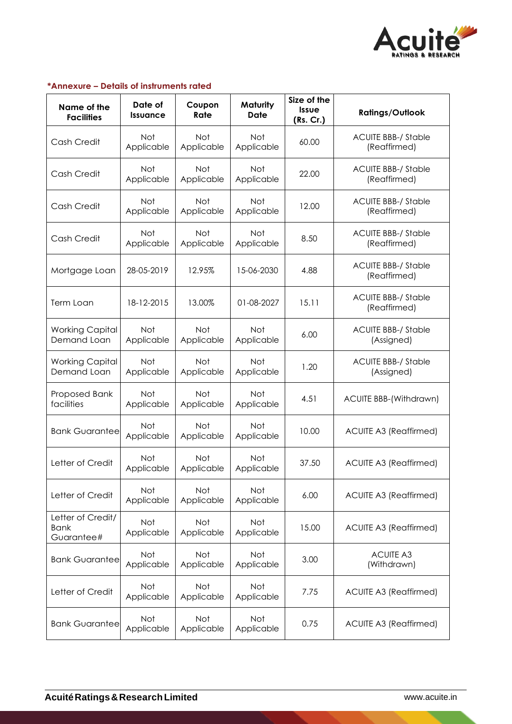

## **\*Annexure – Details of instruments rated**

| Name of the<br><b>Facilities</b>               | Date of<br><b>Issuance</b> | Coupon<br>Rate           | Maturity<br><b>Date</b>  | Size of the<br><b>Issue</b><br>(Rs. Cr.) | <b>Ratings/Outlook</b>                     |
|------------------------------------------------|----------------------------|--------------------------|--------------------------|------------------------------------------|--------------------------------------------|
| Cash Credit                                    | <b>Not</b><br>Applicable   | Not<br>Applicable        | <b>Not</b><br>Applicable | 60.00                                    | <b>ACUITE BBB-/ Stable</b><br>(Reaffirmed) |
| Cash Credit                                    | Not<br>Applicable          | Not<br>Applicable        | <b>Not</b><br>Applicable | 22.00                                    | <b>ACUITE BBB-/ Stable</b><br>(Reaffirmed) |
| Cash Credit                                    | <b>Not</b><br>Applicable   | <b>Not</b><br>Applicable | <b>Not</b><br>Applicable | 12.00                                    | <b>ACUITE BBB-/ Stable</b><br>(Reaffirmed) |
| Cash Credit                                    | <b>Not</b><br>Applicable   | Not<br>Applicable        | Not<br>Applicable        | 8.50                                     | <b>ACUITE BBB-/ Stable</b><br>(Reaffirmed) |
| Mortgage Loan                                  | 28-05-2019                 | 12.95%                   | 15-06-2030               | 4.88                                     | <b>ACUITE BBB-/ Stable</b><br>(Reaffirmed) |
| Term Loan                                      | 18-12-2015                 | 13.00%                   | 01-08-2027               | 15.11                                    | <b>ACUITE BBB-/ Stable</b><br>(Reaffirmed) |
| <b>Working Capital</b><br>Demand Loan          | Not<br>Applicable          | Not<br>Applicable        | Not<br>Applicable        | 6.00                                     | <b>ACUITE BBB-/ Stable</b><br>(Assigned)   |
| <b>Working Capital</b><br>Demand Loan          | Not<br>Applicable          | Not<br>Applicable        | Not<br>Applicable        | 1.20                                     | <b>ACUITE BBB-/ Stable</b><br>(Assigned)   |
| Proposed Bank<br>facilities                    | Not<br>Applicable          | Not<br>Applicable        | Not<br>Applicable        | 4.51                                     | <b>ACUITE BBB-(Withdrawn)</b>              |
| <b>Bank Guarantee</b>                          | Not<br>Applicable          | <b>Not</b><br>Applicable | <b>Not</b><br>Applicable | 10.00                                    | <b>ACUITE A3 (Reaffirmed)</b>              |
| Letter of Credit                               | Not<br>Applicable          | Not<br>Applicable        | <b>Not</b><br>Applicable | 37.50                                    | <b>ACUITE A3 (Reaffirmed)</b>              |
| Letter of Credit                               | Not<br>Applicable          | Not<br>Applicable        | Not<br>Applicable        | 6.00                                     | <b>ACUITE A3 (Reaffirmed)</b>              |
| Letter of Credit/<br><b>Bank</b><br>Guarantee# | Not<br>Applicable          | Not<br>Applicable        | Not<br>Applicable        | 15.00                                    | <b>ACUITE A3 (Reaffirmed)</b>              |
| <b>Bank Guarantee</b>                          | Not<br>Applicable          | Not<br>Applicable        | Not<br>Applicable        | 3.00                                     | <b>ACUITE A3</b><br>(Withdrawn)            |
| Letter of Credit                               | Not<br>Applicable          | Not<br>Applicable        | Not<br>Applicable        | 7.75                                     | <b>ACUITE A3 (Reaffirmed)</b>              |
| <b>Bank Guarantee</b>                          | Not<br>Applicable          | Not<br>Applicable        | Not<br>Applicable        | 0.75                                     | <b>ACUITE A3 (Reaffirmed)</b>              |